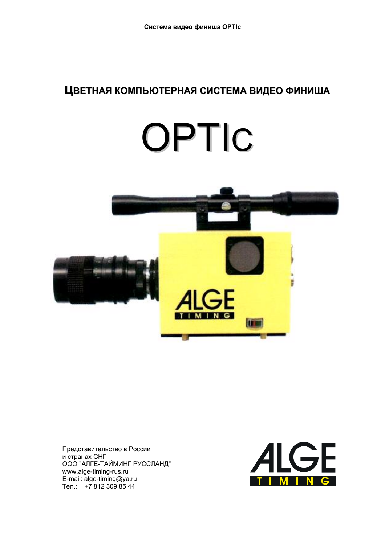# ЦВЕТНАЯ КОМПЬЮТЕРНАЯ СИСТЕМА ВИДЕО ФИНИША

# OPTIC



Представительство в России и странах  $CH\Gamma$ ООО "АЛГЕ-ТАЙМИНГ РУССЛАНД" www.alge-timing-rus.ru E-mail: alge-timing@ya.ru Тел.: +7 812 309 85 44

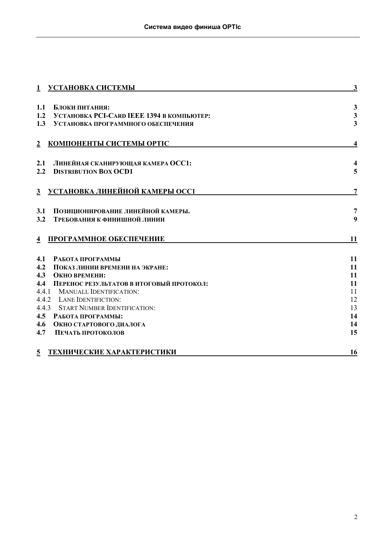| УСТАНОВКА СИСТЕМЫ<br>$\mathbf{1}$                     | 3                       |
|-------------------------------------------------------|-------------------------|
|                                                       |                         |
| 1.1<br>Блоки питания:                                 | $\mathbf{3}$            |
| 1.2<br>УСТАНОВКА РСІ-САRD ІЕЕЕ 1394 В КОМПЬЮТЕР:      | $\overline{\mathbf{3}}$ |
| 1.3<br>УСТАНОВКА ПРОГРАММНОГО ОБЕСПЕЧЕНИЯ             | $\overline{\mathbf{3}}$ |
|                                                       |                         |
| КОМПОНЕНТЫ СИСТЕМЫ ОРТІС<br>$\overline{2}$            | $\overline{\mathbf{4}}$ |
|                                                       |                         |
| ЛИНЕЙНАЯ СКАНИРУЮЩАЯ КАМЕРА ОСС1:<br>2.1              | 4                       |
| 2.2<br><b>DISTRIBUTION BOX OCD1</b>                   | 5                       |
|                                                       |                         |
| <b>УСТАНОВКА ЛИНЕЙНОЙ КАМЕРЫ ОСС1</b><br>$\mathbf{3}$ | $\overline{7}$          |
|                                                       |                         |
| ПОЗИЦИОНИРОВАНИЕ ЛИНЕЙНОЙ КАМЕРЫ.<br>3.1              | $\overline{7}$          |
| 3.2<br>ТРЕБОВАНИЯ К ФИНИШНОЙ ЛИНИИ                    | 9                       |
|                                                       |                         |
| ПРОГРАММНОЕ ОБЕСПЕЧЕНИЕ                               | 11                      |
| $\overline{4}$                                        |                         |
| 4.1<br>РАБОТА ПРОГРАММЫ                               | 11                      |
| 4.2<br>ПОКАЗ ЛИНИИ ВРЕМЕНИ НА ЭКРАНЕ:                 | 11                      |
| 4.3<br>ОКНО ВРЕМЕНИ:                                  | 11                      |
| 4.4<br>ПЕРЕНОС РЕЗУЛЬТАТОВ В ИТОГОВЫЙ ПРОТОКОЛ:       | 11                      |
| 4.4.1<br><b>MANUALL IDENTIFICATION:</b>               | 11                      |
| 4.4.2 LANE IDENTIFICTION:                             | 12                      |
| 4.4.3<br><b>START NUMBER IDENTIFICATION:</b>          | 13                      |
| 4.5<br>РАБОТА ПРОГРАММЫ:                              | 14                      |
| 4.6<br>ОКНО СТАРТОВОГО ДИАЛОГА                        | 14                      |
| 4.7<br>ПЕЧАТЬ ПРОТОКОЛОВ                              | 15                      |
| ТЕХНИЧЕСКИЕ ХАРАКТЕРИСТИКИ<br>$\overline{5}$          | 16                      |
|                                                       |                         |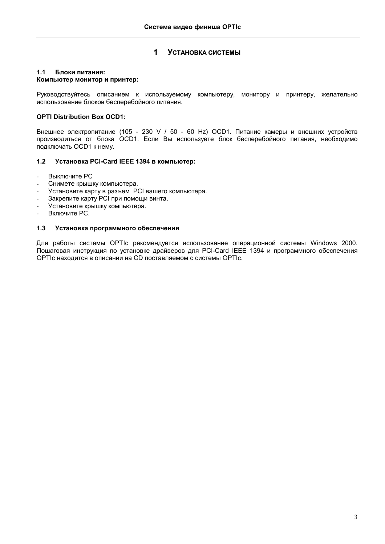# **1** УСТАНОВКА СИСТЕМЫ

# <span id="page-2-0"></span>1.1 **Блоки питания:**

# **Компьютер монитор и принтер:**

Руководствуйтесь описанием к используемому компьютеру, монитору и принтеру, желательно использование блоков бесперебойного питания.

# **OPTI Distribution Box OCD1:**

Внешнее электропитание (105 - 230 V / 50 - 60 Hz) ОСD1. Питание камеры и внешних устройств производиться от блока OCD1. Если Вы используете блок бесперебойного питания, необходимо подключать ОСD1 к нему.

# **1.2 Установка PCI-Card IEEE 1394 в компьютер:**

- Выключите РС
- Снимете крышку компьютера.
- Установите карту в разъем PCI вашего компьютера.
- Закрепите карту PCI при помощи винта.
- Установите крышку компьютера.
- Включите РС.

# 1.3 Установка программного обеспечения

Для работы системы OPTIc рекомендуется использование операционной системы Windows 2000. Пошаговая инструкция по установке драйверов для PCI-Card IEEE 1394 и программного обеспечения OPTIc находится в описании на CD поставляемом с системы OPTIc.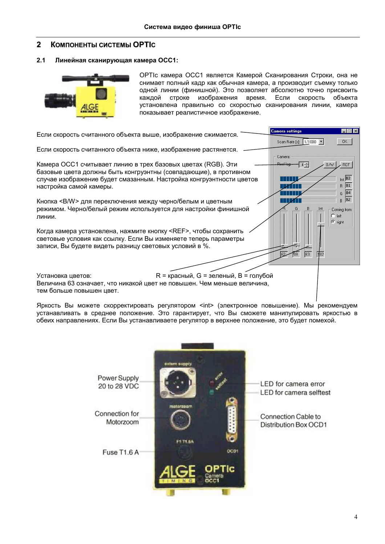### <span id="page-3-0"></span> $\mathbf{2}$ **КОМПОНЕНТЫ СИСТЕМЫ ОРТІС**

### $2.1$ Линейная сканирующая камера ОСС1:



ОРТІс камера ОСС1 является Камерой Сканирования Строки, она не снимает полный кадр как обычная камера, а производит съемку только одной линии (финишной). Это позволяет абсолютно точно присвоить каждой строке изображения время. Если скорость объекта установлена правильно со скоростью сканирования линии, камера показывает реалистичное изображение.

| Если скорость считанного объекта выше, изображение сжимается.                                                                                                                                        | <b>Camera settings</b>      | $-1$                                                   |
|------------------------------------------------------------------------------------------------------------------------------------------------------------------------------------------------------|-----------------------------|--------------------------------------------------------|
|                                                                                                                                                                                                      | Scan Rate [s]: 1/1000 -     | OK                                                     |
| Если скорость считанного объекта ниже, изображение растянется.                                                                                                                                       | Camera:                     |                                                        |
| Камера ОСС1 считывает линию в трех базовых цветах (RGB). Эти<br>базовые цвета должны быть конгруэнтны (совпадающие), в противном                                                                     | <b>Pivel lan</b><br>$4\div$ | <b>REF</b><br>B/w                                      |
| случае изображение будет смазанным. Настройка конгруэнтности цветов<br>настройка самой камеры.                                                                                                       |                             | $Int$ 82<br>R 81<br>$G$ 84                             |
| Кнопка <b w=""> для переключения между черно/белым и цветным<br/>режимом. Черно/белый режим используется для настройки финишной<br/>линии.</b>                                                       | Int                         | $B$ 82<br>Coming from:<br>$C$ left<br>$\epsilon$ right |
| Когда камера установлена, нажмите кнопку <ref>, чтобы сохранить<br/>световые условия как ссылку. Если Вы изменяете теперь параметры<br/>записи, Вы будете видеть разницу световых условий в %.</ref> |                             |                                                        |
| R = красный, G = зеленый, B = голубой<br>Установка цветов:<br>Величина 63 означает, что никакой цвет не повышен. Чем меньше величина,<br>тем больше повышен цвет.                                    |                             |                                                        |

Яркость Вы можете скорректировать регулятором <int> (электронное повышение). Мы рекомендуем устанавливать в среднее положение. Это гарантирует, что Вы сможете манипулировать яркостью в обеих направлениях. Если Вы устанавливаете регулятор в верхнее положение, это будет помехой.

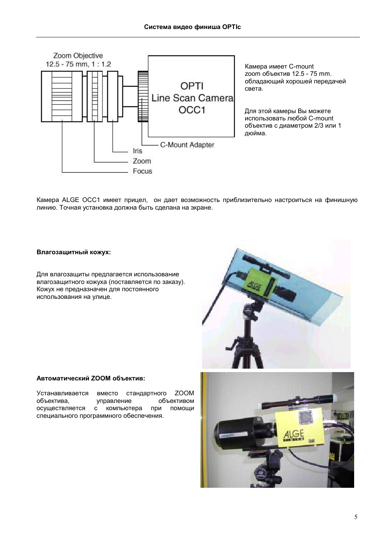<span id="page-4-0"></span>

Камера ALGE OCC1 имеет прицел, он дает возможность приблизительно настроиться на финишную линию. Точная установка должна быть сделана на экране.

# Влагозащитный кожух:

Для влагозащиты предлагается использование влагозащитного кожуха (поставляется по заказу). Кожух не предназначен для постоянного использования на улице.



# Автоматический ZOOM объектив:

**ZOOM** Устанавливается вместо стандартного управление объектива. объективом осуществляется с компьютера при помоши специального программного обеспечения.

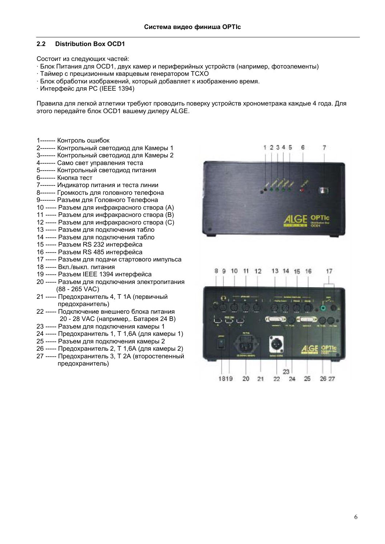# **2.2 Distribution Box OCD1**

Состоит из следующих частей:

- · Блок Питания для ОСD1, двух камер и периферийных устройств (например, фотоэлементы)
- · Таймер с прецизионным кварцевым генератором TCXO
- · Блок обработки изображений, который добавляет к изображению время.
- $\cdot$  Интерфейс для РС (IEEE 1394)

Правила для легкой атлетики требуют проводить поверку устройств хронометража каждые 4 года. Для этого передайте блок OCD1 вашему дилеру ALGE.

1------- Контроль ошибок

- 2------- Контрольный светодиод для Камеры 1
- 3------- Контрольный светодиод для Камеры 2
- 4------- Само свет управления теста
- 5------ Контрольный светодиод питания
- 6------- Кнопка тест
- 7------ Индикатор питания и теста линии
- 8------- Громкость для головного телефона
- 9------- Разъем для Головного Телефона
- 10 ----- Разъем для инфракрасного створа (A)
- 11 ----- Разъем для инфракрасного створа (В)
- 12 ----- Разъем для инфракрасного створа (С)
- 13 ----- Разъем для подключения табло
- 14 ----- Разъем для подключения табло
- 15 ----- Разъем RS 232 интерфейса
- 16 ----- Разъем RS 485 интерфейса
- 17 ----- Разъем для подачи стартового импульса
- 18 ----- Вкл./выкл. питания
- 19 ----- Разъем IEEE 1394 интерфейса
- 20 ----- Разъем для подключения электропитания (88 - 265 VAC)
- 21 ----- Предохранитель 4, Т 1А (первичный предохранитель)
- 22 ----- Подключение внешнего блока питания 20 - 28 VAC (например,. Батарея 24 В)
- 23 ----- Разъем для подключения камеры 1
- 24 ----- Предохранитель 1, Т 1,6А (для камеры 1)
- 25 ----- Разъем для подключения камеры 2
- 26 ----- Предохранитель 2, Т 1,6А (для камеры 2)
- 27 ----- Предохранитель 3, Т 2A (второстепенный предохранитель)



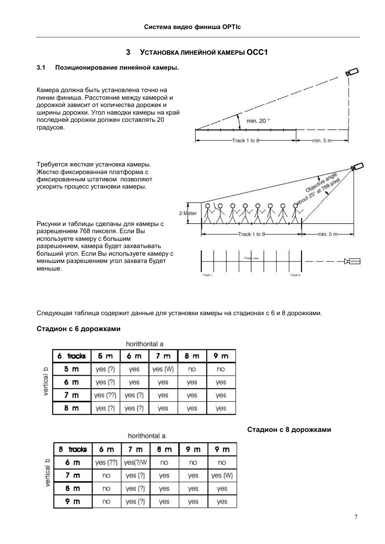### УСТАНОВКА ЛИНЕЙНОЙ КАМЕРЫ ОСС1  $\overline{\mathbf{3}}$

### <span id="page-6-0"></span> $3.1$ Позиционирование линейной камеры.

Камера должна быть установлена точно на линии финиша. Расстояние между камерой и дорожкой зависит от количества дорожек и ширины дорожки. Угол наводки камеры на край последней дорожки должен составлять 20 градусов.





Рисунки и таблицы сделаны для камеры с разрешением 768 пикселя. Если Вы используете камеру с большим разрешением, камера будет захватывать больший угол. Если Вы используете камеру с меньшим разрешением угол захвата будет меньше.



Следующая таблица содержит данные для установки камеры на стадионах с 6 и 8 дорожками.

# Стадион с 6 дорожками

|                |                | horithontal a |                |     |                |
|----------------|----------------|---------------|----------------|-----|----------------|
| tracks         | 5 <sub>m</sub> | 6 m           | 7 <sub>m</sub> | 8 m | 9 <sub>m</sub> |
| 5 m            | yes(?)         | yes           | yes (W)        | no  | no             |
| δm             | yes(?)         | yes           | yes            | yes | yes            |
| 7 <sub>m</sub> | yes (??)       | yes(?)        | yes            | yes | yes            |
| 8 m            | yes(?)         | yes(?)        | yes            | yes | yes            |

|  | __ |          |   |
|--|----|----------|---|
|  |    | <b>S</b> |   |
|  |    | ⊢        | ú |
|  |    | Ф<br>÷   |   |

# horithontal a

| 8            | tracks         | 6 m      | 7 m     | 8 m | 9 m | 9 m     |
|--------------|----------------|----------|---------|-----|-----|---------|
| $\mathbf{D}$ | 6 m            | yes (??) | yes(?/W | no  | no  | no      |
| vertical     | 7 <sub>m</sub> | no       | yes(?)  | yes | yes | yes (W) |
|              | 8 m            | no       | yes(?)  | yes | yes | yes     |
|              | 9 m            | $\infty$ | yes(?)  | yes | yes | yes     |

# Стадион с 8 дорожками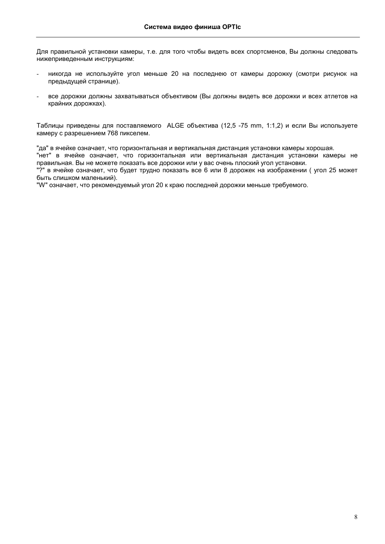Для правильной установки камеры, т.е. для того чтобы видеть всех спортсменов, Вы должны следовать нижеприведенным инструкциям:

- никогда не используйте угол меньше 20 на последнею от камеры дорожку (смотри рисунок на предыдущей странице).
- все дорожки должны захватываться объективом (Вы должны видеть все дорожки и всех атлетов на крайних дорожках).

Таблицы приведены для поставляемого ALGE объектива (12,5 -75 mm, 1:1,2) и если Вы используете камеру с разрешением 768 пикселем.

"да" в ячейке означает, что горизонтальная и вертикальная дистанция установки камеры хорошая.

"нет" в ячейке означает, что горизонтальная или вертикальная дистанция установки камеры не правильная. Вы не можете показать все дорожки или у вас очень плоский угол установки.

"?" в ячейке означает, что будет трудно показать все 6 или 8 дорожек на изображении (угол 25 может быть слишком маленький).

"W" означает, что рекомендуемый угол 20 к краю последней дорожки меньше требуемого.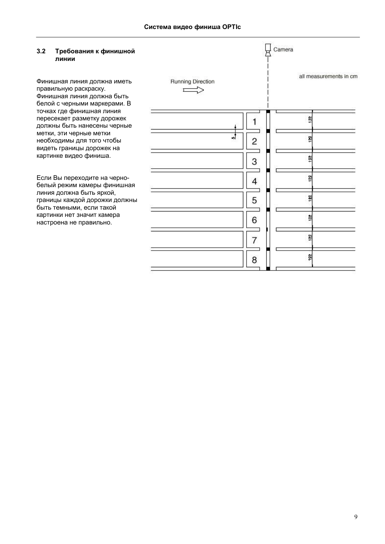### <span id="page-8-0"></span> $3.2$ Требования к финишной линии

Финишная линия должна иметь правильную раскраску. Финишная линия должна быть белой с черными маркерами. В точках где финишная линия пересекает разметку дорожек должны быть нанесены черные метки, эти черные метки необходимы для того чтобы видеть границы дорожек на картинке видео финиша.

Если Вы переходите на чернобелый режим камеры финишная линия должна быть яркой, границы каждой дорожки должны быть темными, если такой картинки нет значит камера настроена не правильно.

|                                 |                               | Camera                 |
|---------------------------------|-------------------------------|------------------------|
| Running Direction<br>$\implies$ |                               | all measurements in cm |
|                                 |                               | 읧                      |
|                                 | z.<br>$\overline{\mathbf{c}}$ | Ŋ                      |
|                                 | З                             | 흲                      |
|                                 | 4                             | <b>M</b>               |
|                                 | 5                             | 뮑                      |
|                                 | 6                             | 흱                      |
|                                 | 7                             | 3                      |
|                                 | 8                             | 122                    |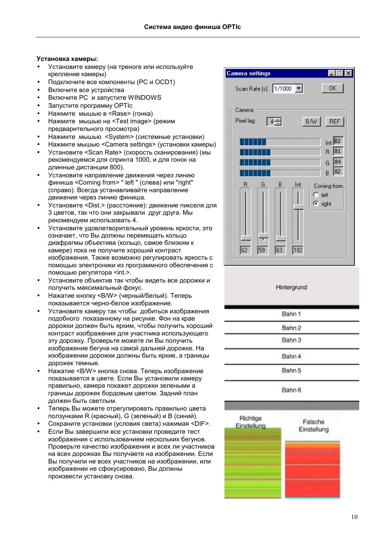# Установка камеры:

- Установите камеру (на треноге или используйте крепление камеры)
- Подключите все компоненты (PC и OCD1)
- Включите все устройства
- Включите PC и запустите WINDOWS
- Запустите программу OPTIc
- Нажмите мышью в <Rase> (гонка)
- Нажмите мышью на <Test image> (режим предварительного просмотра)
- Нажмите мышью <System> (системные установки)
- Нажмите мышью <Camera settings> (установки камеры)
- Установите <Scan Rate> (скорость сканирования) (мы рекомендуемся для спринта 1000, и для гонок на длинные дистанции 800).
- Установите направление движения через линию финиша <Coming from> " left " (слева) или "right" (справо). Всегда устанавливайте направление движения через линию финиша.
- Установите <Dist.> (расстояние): движение пикселя для 3 цветов, так что они закрывали друг друга. Мы рекомендуем использовать 4.
- Установите удовлетворительный уровень яркости, это означает, что Вы должны перемещать кольцо диафрагмы объектива (кольцо, самое близким к камере) пока не получите хороший контраст изображения. Также возможно регулировать яркость с помощью электроники из программного обеспечения с помощью регулятора <int.>.
- Установите объектив так чтобы видеть все дорожки и получить максимальный фокус.
- Нажатие кнопку <B/W> (черный/белый). Теперь показывается черно-белое изображение.
- Установите камеру так чтобы добиться изображения подобного показанному на рисунке. Фон на крае дорожки должен быть ярким, чтобы получить хороший контраст изображения для участника использующего эту дорожку. Проверьте можете ли Вы получить изображение бегуна на самой дальней дорожке. На изображении дорожки должны быть яркие, а границы дорожек темные.
- Нажатие <B/W> кнопка снова. Теперь изображение показывается в цвете. Если Вы установили камеру правильно, камера покажет дорожки зелеными а границы дорожек бордовым цветом. Задний план должен быть светлым.
- Теперь Вы можете отрегулировать правильно цвета ползунками R (красный), G (зеленый) и B (синий).
- Сохраните установки (условия света) нажимая <DIF>.
- Если Вы завершили все установки проведите тест изображения с использованием нескольких бегунов. Проверьте качество изображения и всех ли участников на всех дорожках Вы получаете на изображении. Если Вы получили не всех участников на изображении, или изображении не сфокусировано, Вы должны произвести установку снова.



# Hintergrund

| Bahn 1 |  |
|--------|--|
| Bahn 2 |  |
| Bahn 3 |  |
| Bahn 4 |  |
| Bahn 5 |  |
|        |  |

Bahn 6

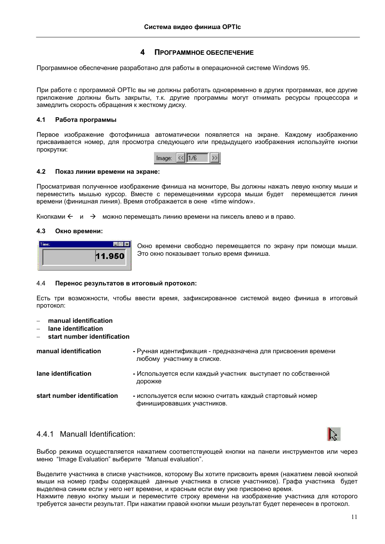### 4 ПРОГРАММНОЕ ОБЕСПЕЧЕНИЕ

<span id="page-10-0"></span>Программное обеспечение разработано для работы в операционной системе Windows 95.

При работе с программой ОРТІс вы не должны работать одновременно в других программах, все другие приложение должны быть закрыты, т.к. другие программы могут отнимать ресурсы процессора и замедлить скорость обращения к жесткому диску.

### $4.1$ Работа программы

Первое изображение фотофиниша автоматически появляется на экране. Каждому изображению присваивается номер, для просмотра следующего или предыдущего изображения используйте кнопки прокрутки:



### $4.2$ Показ линии времени на экране:

Просматривая полученное изображение финиша на мониторе. Вы должны нажать левую кнопку мыши и переместить мышью курсор. Вместе с перемешениями курсора мыши будет перемешается линия времени (финишная линия). Время отображается в окне «time window».

Кнопками  $\leftarrow u \rightarrow$  можно перемешать линию времени на пиксель влево и в право.

### $4.3$ Окно времени:



Окно времени свободно перемещается по экрану при помощи мыши. Это окно показывает только время финиша.

### $4.4$ Перенос результатов в итоговый протокол:

Есть три возможности, чтобы ввести время, зафиксированное системой видео финиша в итоговый протокол:

- manual identification
- lane identification
- start number identification

| manual identification       | - Ручная идентификация - предназначена для присвоения времени<br>любому участнику в списке. |
|-----------------------------|---------------------------------------------------------------------------------------------|
| lane identification         | - Используется если каждый участник выступает по собственной<br>дорожке                     |
| start number identification | - используется если можно считать каждый стартовый номер<br>финишировавших участников.      |

# 4.4.1 Manuall Identification:



Выбор режима осуществляется нажатием соответствующей кнопки на панели инструментов или через меню "Image Evaluation" выберите "Manual evaluation".

Выделите участника в списке участников, которому Вы хотите присвоить время (нажатием левой кнопкой мыши на номер графы содержащей данные участника в списке участников). Графа участника будет выделена синим если у него нет времени, и красным если ему уже присвоено время.

Нажмите левую кнопку мыши и переместите строку времени на изображение участника для которого требуется занести результат. При нажатии правой кнопки мыши результат будет перенесен в протокол.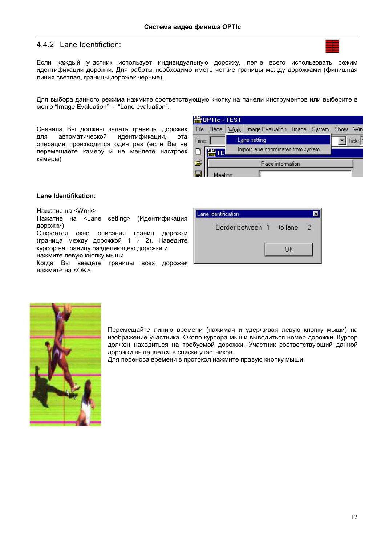# <span id="page-11-0"></span>4.4.2 Lane Identifiction:



Если каждый участник использует индивидуальную дорожку, легче всего использовать режим идентификации дорожки. Для работы необходимо иметь четкие границы между дорожками (финишная линия светлая, границы дорожек черные).

Для выбора данного режима нажмите соответствующую кнопку на панели инструментов или выберите в меню "Image Evaluation" - "Lane evaluation".

Сначала Вы должны задать границы дорожек для автоматической идентификации, эта операция производится один раз (если Вы не перемещаете камеру и не меняете настроек камеры)

| File      | Race | <b>Work</b> | Image Evaluation                    | Image | System | Show | Win   |
|-----------|------|-------------|-------------------------------------|-------|--------|------|-------|
| Time:     |      |             | Lane setting                        |       |        |      | Tick: |
|           | TE.  |             | Import lane coordinates from system |       |        |      |       |
| $\vec{r}$ |      |             | Race information                    |       |        |      |       |
|           |      | ooting      |                                     |       |        |      |       |

# Lane Identifikation:

Нажатие на <Work>

Нажатие на <Lane setting> (Идентификация дорожки)

Откроется окно описания границ дорожки (граница между дорожкой 1 и 2). Наведите курсор на границу разделяющею дорожки и нажмите левую кнопку мыши.

Когда Вы введете границы всех дорожек нажмите на <ОК>.

| Lane identification |         |   |
|---------------------|---------|---|
| Border between 1    | to lane | 2 |
|                     | ΟK      |   |



Перемещайте линию времени (нажимая и удерживая левую кнопку мыши) на изображение участника. Около курсора мыши выводиться номер дорожки. Курсор должен находиться на требуемой дорожки. Участник соответствующий данной дорожки выделяется в списке участников.

Для переноса времени в протокол нажмите правую кнопку мыши.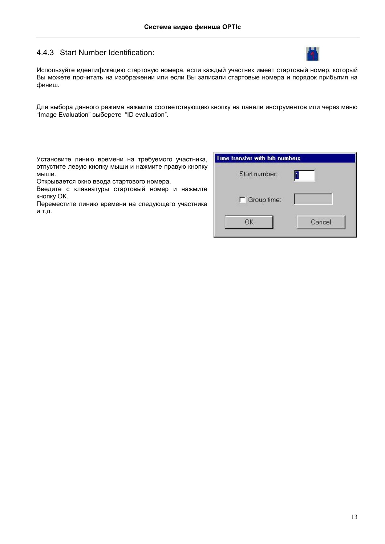# <span id="page-12-0"></span>4.4.3 Start Number Identification:



Используйте идентификацию стартовую номера, если каждый участник имеет стартовый номер, который Вы можете прочитать на изображении или если Вы записали стартовые номера и порядок прибытия на финиш.

Для выбора данного режима нажмите соответствующею кнопку на панели инструментов или через меню "Image Evaluation" выберете "ID evaluation".

Установите линию времени на требуемого участника, отпустите левую кнопку мыши и нажмите правую кнопку мыши.

Открывается окно ввода стартового номера.

Введите с клавиатуры стартовый номер и нажмите кнопку ОК.

Переместите линию времени на следующего участника и т.д.

| Start number:        |        |
|----------------------|--------|
| $\Gamma$ Group time: |        |
| ОК                   | Cancel |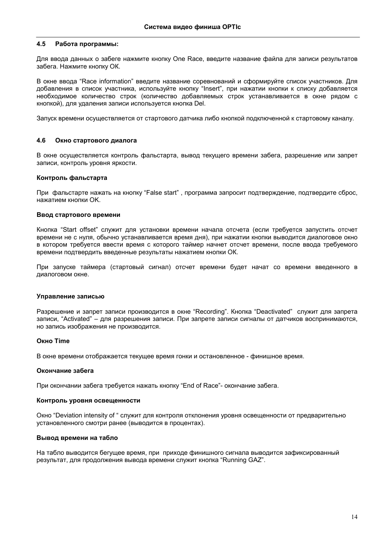### <span id="page-13-0"></span> $4.5$ Работа программы:

Для ввода данных о забеге нажмите кнопку One Race, введите название файла для записи результатов забега. Нажмите кнопку ОК.

В окне ввода "Race information" введите название соревнований и сформируйте список участников. Для добавления в список участника, используйте кнопку "Insert", при нажатии кнопки к списку добавляется необходимое количество строк (количество добавляемых строк устанавливается в окне рядом с кнопкой), для удаления записи используется кнопка Del.

Запуск времени осуществляется от стартового датчика либо кнопкой подключенной к стартовому каналу.

### $4.6$ Окно стартового диалога

В окне осуществляется контроль фальстарта, вывод текущего времени забега, разрешение или запрет записи, контроль уровня яркости.

# Контроль фальстарта

При фальстарте нажать на кнопку "False start", программа запросит подтверждение, подтвердите сброс, нажатием кнопки ОК.

# Ввод стартового времени

Кнопка "Start offset" служит для установки времени начала отсчета (если требуется запустить отсчет времени не с нуля, обычно устанавливается время дня), при нажатии кнопки выводится диалоговое окно в котором требуется ввести время с которого таймер начнет отсчет времени, после ввода требуемого времени подтвердить введенные результаты нажатием кнопки ОК.

При запуске таймера (стартовый сигнал) отсчет времени будет начат со времени введенного в диалоговом окне.

# Управление записью

Разрешение и запрет записи производится в окне "Recording". Кнопка "Deactivated" служит для запрета записи, "Activated" - для разрешения записи. При запрете записи сигналы от датчиков воспринимаются, но запись изображения не производится.

# Окно Time

В окне времени отображается текущее время гонки и остановленное - финишное время.

# Окончание забега

При окончании забега требуется нажать кнопку "End of Race"- окончание забега.

# Контроль уровня освещенности

Окно "Deviation intensity of " служит для контроля отклонения уровня освещенности от предварительно установленного смотри ранее (выводится в процентах).

# Вывод времени на табло

На табло выводится бегущее время, при приходе финишного сигнала выводится зафиксированный результат, для продолжения вывода времени служит кнопка "Running GAZ".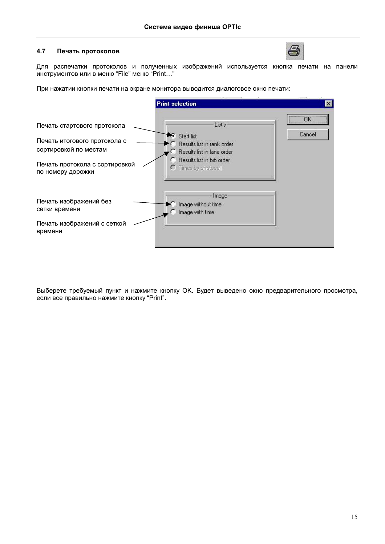### <span id="page-14-0"></span> $4.7$ Печать протоколов



Для распечатки протоколов и полученных изображений используется кнопка печати на панели инструментов или в меню "File" меню "Print..."

При нажатии кнопки печати на экране монитора выводится диалоговое окно печати:

|                                                                                                                                             | <b>Print selection</b>                                                                                                                                  | $\mathbf{x}$ |
|---------------------------------------------------------------------------------------------------------------------------------------------|---------------------------------------------------------------------------------------------------------------------------------------------------------|--------------|
| Печать стартового протокола<br>Печать итогового протокола с<br>сортировкой по местам<br>Печать протокола с сортировкой<br>по номеру дорожки | List's<br>$\epsilon$ Start list<br>Results list in rank order<br><b>Besults list in lane order</b><br>Results list in bib order<br>O Times by photocell | OK<br>Cancel |
| Печать изображений без<br>сетки времени<br>Печать изображений с сеткой<br>времени                                                           | Image:<br>Image without time<br>Image with time.                                                                                                        |              |

Выберете требуемый пункт и нажмите кнопку ОК. Будет выведено окно предварительного просмотра, если все правильно нажмите кнопку "Print".